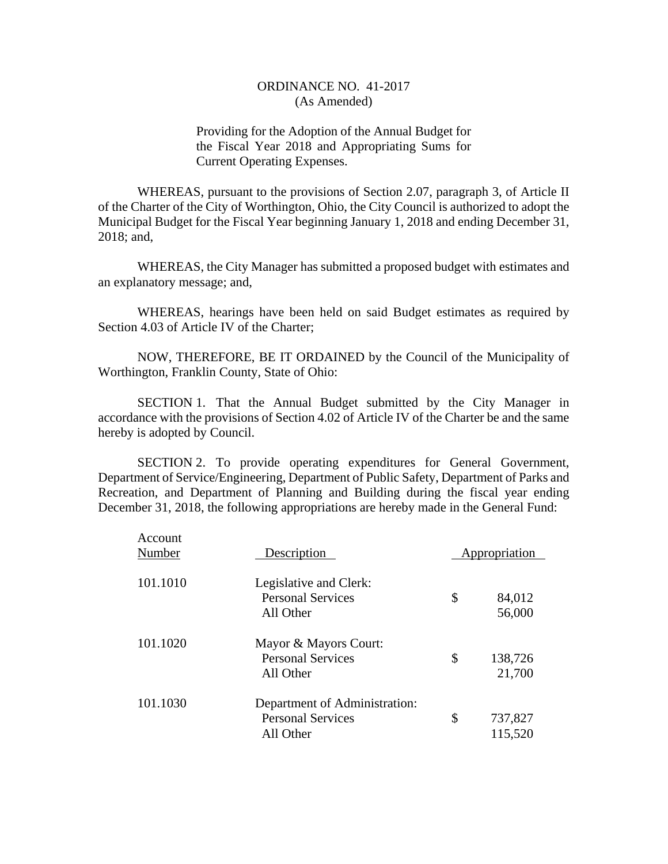Providing for the Adoption of the Annual Budget for the Fiscal Year 2018 and Appropriating Sums for Current Operating Expenses.

WHEREAS, pursuant to the provisions of Section 2.07, paragraph 3, of Article II of the Charter of the City of Worthington, Ohio, the City Council is authorized to adopt the Municipal Budget for the Fiscal Year beginning January 1, 2018 and ending December 31, 2018; and,

WHEREAS, the City Manager has submitted a proposed budget with estimates and an explanatory message; and,

WHEREAS, hearings have been held on said Budget estimates as required by Section 4.03 of Article IV of the Charter;

NOW, THEREFORE, BE IT ORDAINED by the Council of the Municipality of Worthington, Franklin County, State of Ohio:

SECTION 1. That the Annual Budget submitted by the City Manager in accordance with the provisions of Section 4.02 of Article IV of the Charter be and the same hereby is adopted by Council.

SECTION 2. To provide operating expenditures for General Government, Department of Service/Engineering, Department of Public Safety, Department of Parks and Recreation, and Department of Planning and Building during the fiscal year ending December 31, 2018, the following appropriations are hereby made in the General Fund:

| Account<br>Number | Description                                                            | Appropriation            |
|-------------------|------------------------------------------------------------------------|--------------------------|
| 101.1010          | Legislative and Clerk:<br><b>Personal Services</b><br>All Other        | \$<br>84,012<br>56,000   |
| 101.1020          | Mayor & Mayors Court:<br><b>Personal Services</b><br>All Other         | \$<br>138,726<br>21,700  |
| 101.1030          | Department of Administration:<br><b>Personal Services</b><br>All Other | \$<br>737,827<br>115,520 |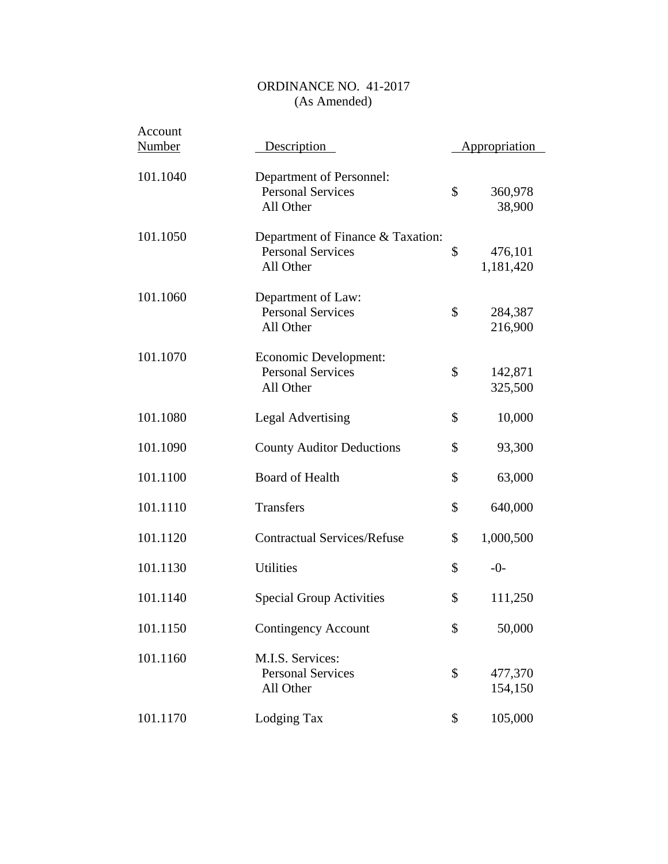| Account<br><b>Number</b> | Description                                                                | Appropriation              |
|--------------------------|----------------------------------------------------------------------------|----------------------------|
| 101.1040                 | Department of Personnel:<br><b>Personal Services</b><br>All Other          | \$<br>360,978<br>38,900    |
| 101.1050                 | Department of Finance & Taxation:<br><b>Personal Services</b><br>All Other | \$<br>476,101<br>1,181,420 |
| 101.1060                 | Department of Law:<br><b>Personal Services</b><br>All Other                | \$<br>284,387<br>216,900   |
| 101.1070                 | Economic Development:<br><b>Personal Services</b><br>All Other             | \$<br>142,871<br>325,500   |
| 101.1080                 | <b>Legal Advertising</b>                                                   | \$<br>10,000               |
| 101.1090                 | <b>County Auditor Deductions</b>                                           | \$<br>93,300               |
| 101.1100                 | <b>Board of Health</b>                                                     | \$<br>63,000               |
| 101.1110                 | Transfers                                                                  | \$<br>640,000              |
| 101.1120                 | <b>Contractual Services/Refuse</b>                                         | \$<br>1,000,500            |
| 101.1130                 | <b>Utilities</b>                                                           | \$<br>$-0-$                |
| 101.1140                 | <b>Special Group Activities</b>                                            | \$<br>111,250              |
| 101.1150                 | <b>Contingency Account</b>                                                 | \$<br>50,000               |
| 101.1160                 | M.I.S. Services:<br><b>Personal Services</b><br>All Other                  | \$<br>477,370<br>154,150   |
| 101.1170                 | Lodging Tax                                                                | \$<br>105,000              |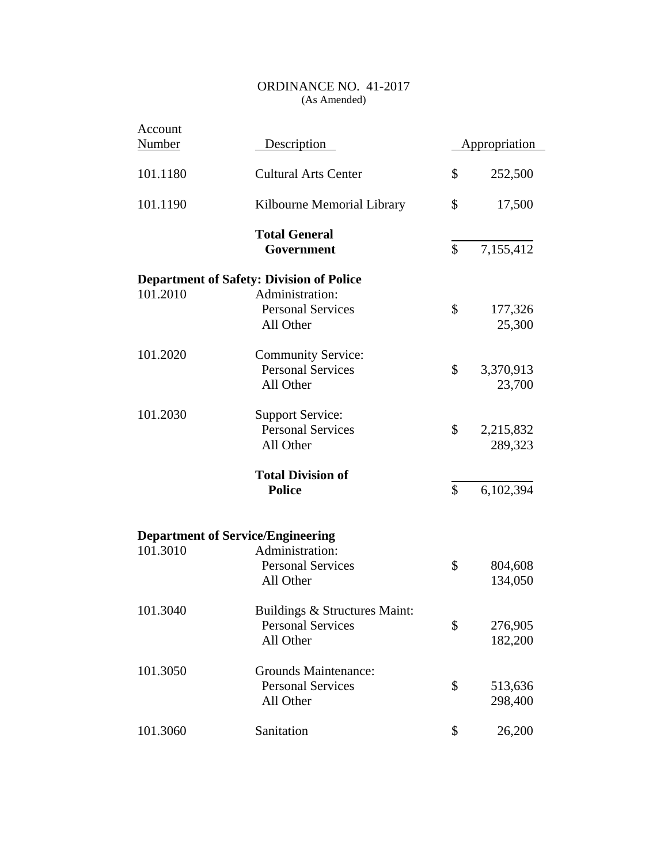| Account<br><b>Number</b> | Description                                                            | Appropriation              |
|--------------------------|------------------------------------------------------------------------|----------------------------|
| 101.1180                 | <b>Cultural Arts Center</b>                                            | \$<br>252,500              |
| 101.1190                 | Kilbourne Memorial Library                                             | \$<br>17,500               |
|                          | <b>Total General</b><br>Government                                     | \$<br>7,155,412            |
|                          | <b>Department of Safety: Division of Police</b>                        |                            |
| 101.2010                 | Administration:<br><b>Personal Services</b><br>All Other               | \$<br>177,326<br>25,300    |
| 101.2020                 | <b>Community Service:</b><br><b>Personal Services</b><br>All Other     | \$<br>3,370,913<br>23,700  |
| 101.2030                 | <b>Support Service:</b><br><b>Personal Services</b><br>All Other       | \$<br>2,215,832<br>289,323 |
|                          | <b>Total Division of</b><br><b>Police</b>                              | \$<br>6,102,394            |
|                          | <b>Department of Service/Engineering</b>                               |                            |
| 101.3010                 | Administration:<br><b>Personal Services</b><br>All Other               | \$<br>804,608<br>134,050   |
| 101.3040                 | Buildings & Structures Maint:<br><b>Personal Services</b><br>All Other | \$<br>276,905<br>182,200   |
| 101.3050                 | <b>Grounds Maintenance:</b><br><b>Personal Services</b><br>All Other   | \$<br>513,636<br>298,400   |
| 101.3060                 | Sanitation                                                             | \$<br>26,200               |
|                          |                                                                        |                            |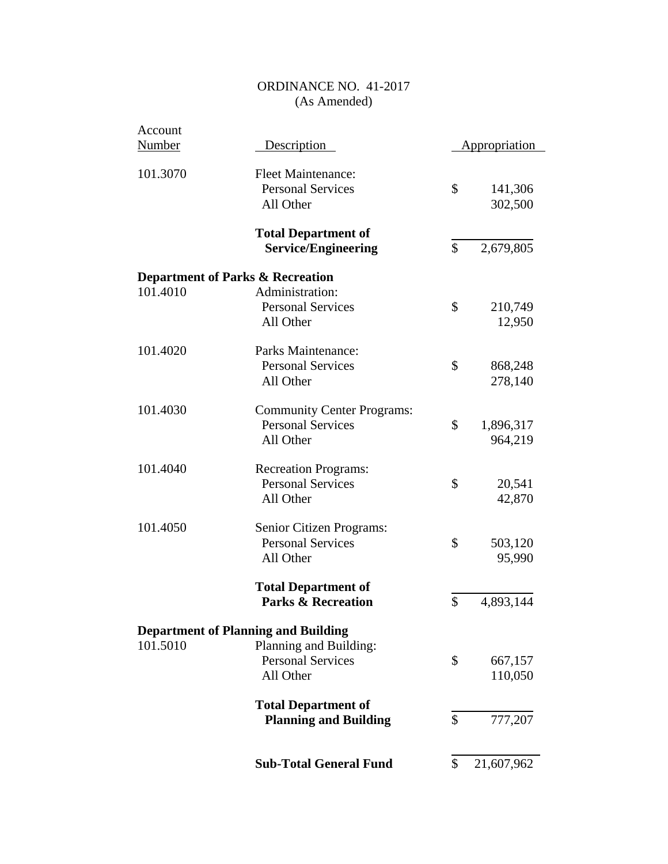| Account  |                                             |                      |
|----------|---------------------------------------------|----------------------|
| Number   | Description                                 | <b>Appropriation</b> |
| 101.3070 | <b>Fleet Maintenance:</b>                   |                      |
|          | <b>Personal Services</b>                    | \$<br>141,306        |
|          | All Other                                   | 302,500              |
|          | <b>Total Department of</b>                  |                      |
|          | <b>Service/Engineering</b>                  | \$<br>2,679,805      |
|          | <b>Department of Parks &amp; Recreation</b> |                      |
| 101.4010 | Administration:                             |                      |
|          | <b>Personal Services</b>                    | \$<br>210,749        |
|          |                                             |                      |
|          | All Other                                   | 12,950               |
| 101.4020 | Parks Maintenance:                          |                      |
|          | <b>Personal Services</b>                    | \$<br>868,248        |
|          | All Other                                   | 278,140              |
| 101.4030 | <b>Community Center Programs:</b>           |                      |
|          | <b>Personal Services</b>                    | \$<br>1,896,317      |
|          | All Other                                   | 964,219              |
| 101.4040 | <b>Recreation Programs:</b>                 |                      |
|          | <b>Personal Services</b>                    | \$<br>20,541         |
|          | All Other                                   | 42,870               |
|          |                                             |                      |
| 101.4050 | Senior Citizen Programs:                    |                      |
|          | <b>Personal Services</b>                    | \$<br>503,120        |
|          | All Other                                   | 95,990               |
|          | <b>Total Department of</b>                  |                      |
|          | <b>Parks &amp; Recreation</b>               | \$<br>4,893,144      |
|          | <b>Department of Planning and Building</b>  |                      |
| 101.5010 | Planning and Building:                      |                      |
|          | <b>Personal Services</b>                    | \$<br>667,157        |
|          | All Other                                   | 110,050              |
|          | <b>Total Department of</b>                  |                      |
|          | <b>Planning and Building</b>                | \$<br>777,207        |
|          |                                             |                      |
|          | <b>Sub-Total General Fund</b>               | \$<br>21,607,962     |
|          |                                             |                      |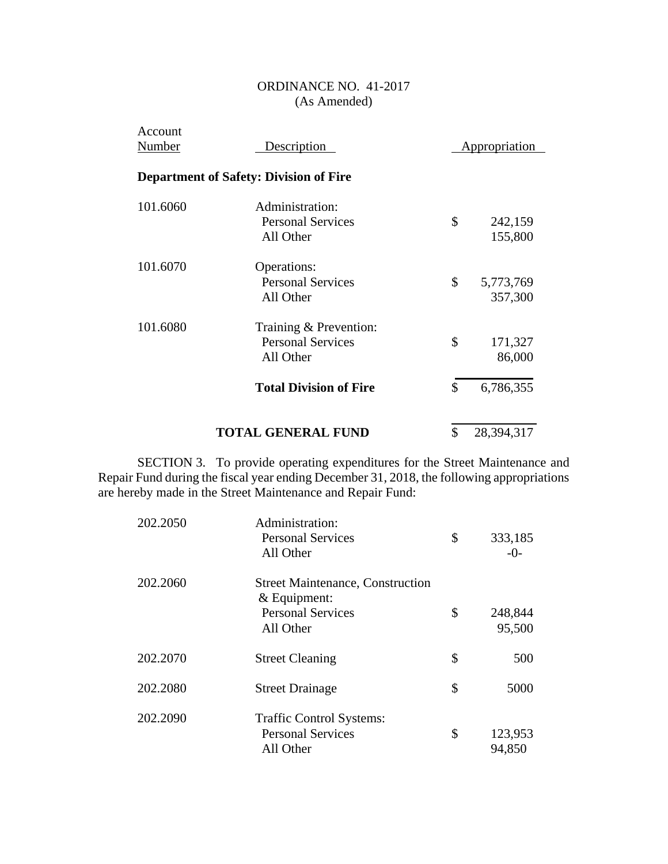| Account<br>Number | Description                                                     | Appropriation |                      |
|-------------------|-----------------------------------------------------------------|---------------|----------------------|
|                   | <b>Department of Safety: Division of Fire</b>                   |               |                      |
| 101.6060          | Administration:<br><b>Personal Services</b><br>All Other        | \$            | 242,159<br>155,800   |
| 101.6070          | Operations:<br><b>Personal Services</b><br>All Other            | \$            | 5,773,769<br>357,300 |
| 101.6080          | Training & Prevention:<br><b>Personal Services</b><br>All Other | \$            | 171,327<br>86,000    |
|                   | <b>Total Division of Fire</b>                                   | \$            | 6,786,355            |
|                   | <b>TOTAL GENERAL FUND</b>                                       | \$            | 28,394,317           |

SECTION 3. To provide operating expenditures for the Street Maintenance and Repair Fund during the fiscal year ending December 31, 2018, the following appropriations are hereby made in the Street Maintenance and Repair Fund:

| 202.2050 | Administration:<br><b>Personal Services</b><br>All Other                                           | \$<br>333,185<br>$-0-$  |
|----------|----------------------------------------------------------------------------------------------------|-------------------------|
| 202.2060 | <b>Street Maintenance, Construction</b><br>$&$ Equipment:<br><b>Personal Services</b><br>All Other | \$<br>248,844<br>95,500 |
| 202.2070 | <b>Street Cleaning</b>                                                                             | \$<br>500               |
| 202.2080 | <b>Street Drainage</b>                                                                             | \$<br>5000              |
| 202.2090 | <b>Traffic Control Systems:</b><br><b>Personal Services</b><br>All Other                           | \$<br>123,953<br>94,850 |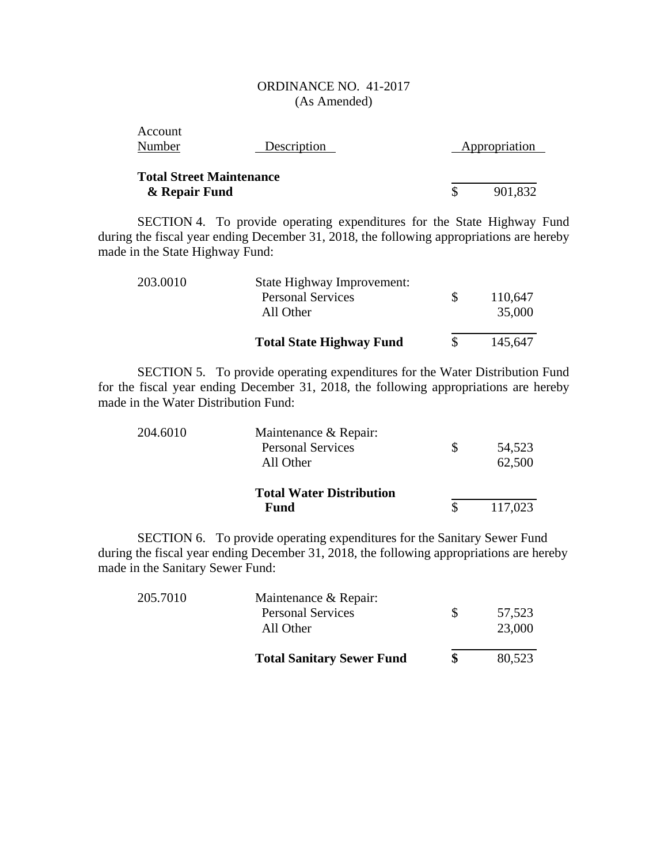| Account<br>Number                                | Description | Appropriation |
|--------------------------------------------------|-------------|---------------|
| <b>Total Street Maintenance</b><br>& Repair Fund |             | 901,832       |

SECTION 4. To provide operating expenditures for the State Highway Fund during the fiscal year ending December 31, 2018, the following appropriations are hereby made in the State Highway Fund:

| 203.0010 | State Highway Improvement:<br><b>Personal Services</b><br>All Other | 110,647<br>35,000 |
|----------|---------------------------------------------------------------------|-------------------|
|          | <b>Total State Highway Fund</b>                                     | 145,647           |

SECTION 5. To provide operating expenditures for the Water Distribution Fund for the fiscal year ending December 31, 2018, the following appropriations are hereby made in the Water Distribution Fund:

| 204.6010 | Maintenance & Repair:           |         |
|----------|---------------------------------|---------|
|          | <b>Personal Services</b>        | 54,523  |
|          | All Other                       | 62,500  |
|          | <b>Total Water Distribution</b> |         |
|          | Fund                            | 117,023 |

SECTION 6. To provide operating expenditures for the Sanitary Sewer Fund during the fiscal year ending December 31, 2018, the following appropriations are hereby made in the Sanitary Sewer Fund:

| 205.7010 | Maintenance & Repair:<br><b>Personal Services</b><br>All Other | S | 57,523<br>23,000 |
|----------|----------------------------------------------------------------|---|------------------|
|          | <b>Total Sanitary Sewer Fund</b>                               |   | 80,523           |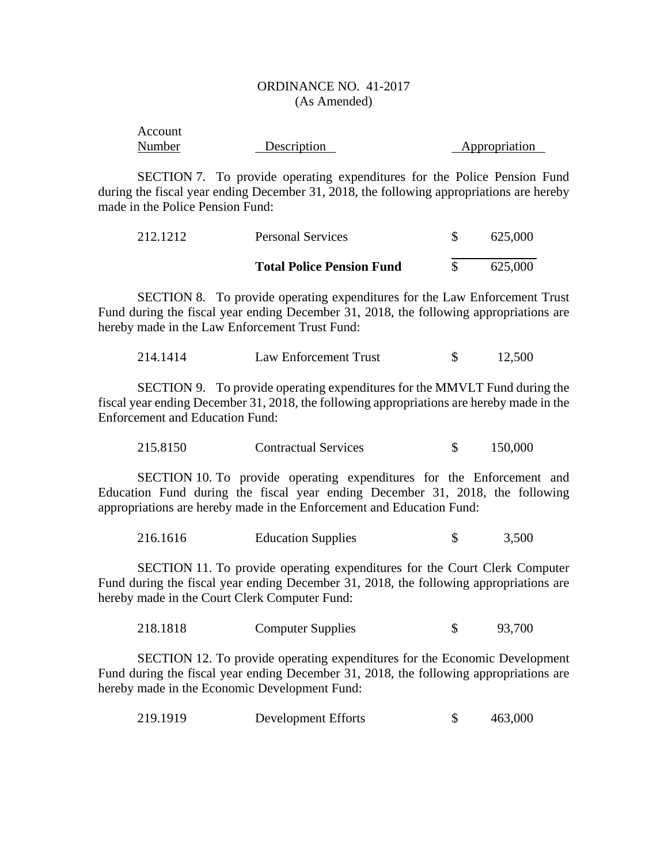| Account |             |               |
|---------|-------------|---------------|
| Number  | Description | Appropriation |

SECTION 7. To provide operating expenditures for the Police Pension Fund during the fiscal year ending December 31, 2018, the following appropriations are hereby made in the Police Pension Fund:

| 212.1212 | <b>Personal Services</b>         | 625,000 |
|----------|----------------------------------|---------|
|          | <b>Total Police Pension Fund</b> | 625,000 |

SECTION 8. To provide operating expenditures for the Law Enforcement Trust Fund during the fiscal year ending December 31, 2018, the following appropriations are hereby made in the Law Enforcement Trust Fund:

214.1414 Law Enforcement Trust \$ 12,500

SECTION 9. To provide operating expenditures for the MMVLT Fund during the fiscal year ending December 31, 2018, the following appropriations are hereby made in the Enforcement and Education Fund:

| 215.8150<br><b>Contractual Services</b> |  | 150,000 |
|-----------------------------------------|--|---------|
|-----------------------------------------|--|---------|

SECTION 10. To provide operating expenditures for the Enforcement and Education Fund during the fiscal year ending December 31, 2018, the following appropriations are hereby made in the Enforcement and Education Fund:

216.1616 Education Supplies \$ 3,500

SECTION 11. To provide operating expenditures for the Court Clerk Computer Fund during the fiscal year ending December 31, 2018, the following appropriations are hereby made in the Court Clerk Computer Fund:

218.1818 Computer Supplies \$ 93,700

SECTION 12. To provide operating expenditures for the Economic Development Fund during the fiscal year ending December 31, 2018, the following appropriations are hereby made in the Economic Development Fund:

| 219.1919 | Development Efforts |  | 463,000 |
|----------|---------------------|--|---------|
|----------|---------------------|--|---------|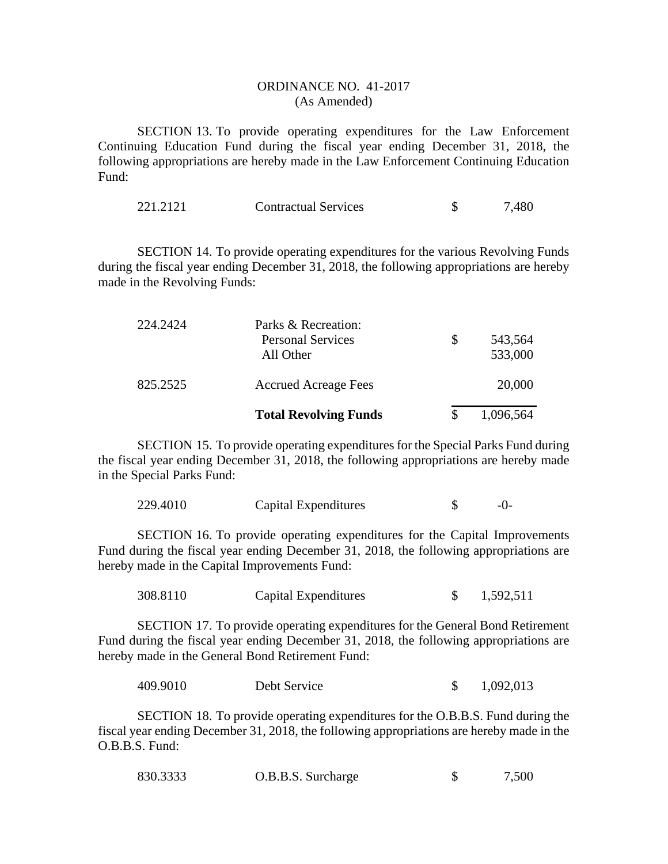SECTION 13. To provide operating expenditures for the Law Enforcement Continuing Education Fund during the fiscal year ending December 31, 2018, the following appropriations are hereby made in the Law Enforcement Continuing Education Fund:

| 221.2121 | <b>Contractual Services</b> |  | 7,480 |
|----------|-----------------------------|--|-------|
|----------|-----------------------------|--|-------|

SECTION 14. To provide operating expenditures for the various Revolving Funds during the fiscal year ending December 31, 2018, the following appropriations are hereby made in the Revolving Funds:

|          | <b>Total Revolving Funds</b>                                 |   | 1,096,564          |
|----------|--------------------------------------------------------------|---|--------------------|
| 825.2525 | <b>Accrued Acreage Fees</b>                                  |   | 20,000             |
| 224.2424 | Parks & Recreation:<br><b>Personal Services</b><br>All Other | S | 543,564<br>533,000 |

SECTION 15. To provide operating expenditures for the Special Parks Fund during the fiscal year ending December 31, 2018, the following appropriations are hereby made in the Special Parks Fund:

| 229.4010 | Capital Expenditures |  | $-()$ - |
|----------|----------------------|--|---------|
|----------|----------------------|--|---------|

SECTION 16. To provide operating expenditures for the Capital Improvements Fund during the fiscal year ending December 31, 2018, the following appropriations are hereby made in the Capital Improvements Fund:

| 308.8110 | Capital Expenditures |  | 1,592,511 |
|----------|----------------------|--|-----------|
|----------|----------------------|--|-----------|

SECTION 17. To provide operating expenditures for the General Bond Retirement Fund during the fiscal year ending December 31, 2018, the following appropriations are hereby made in the General Bond Retirement Fund:

409.9010 Debt Service \$ 1,092,013

SECTION 18. To provide operating expenditures for the O.B.B.S. Fund during the fiscal year ending December 31, 2018, the following appropriations are hereby made in the O.B.B.S. Fund:

| 830.3333 | O.B.B.S. Surcharge |  | 7,500 |
|----------|--------------------|--|-------|
|----------|--------------------|--|-------|